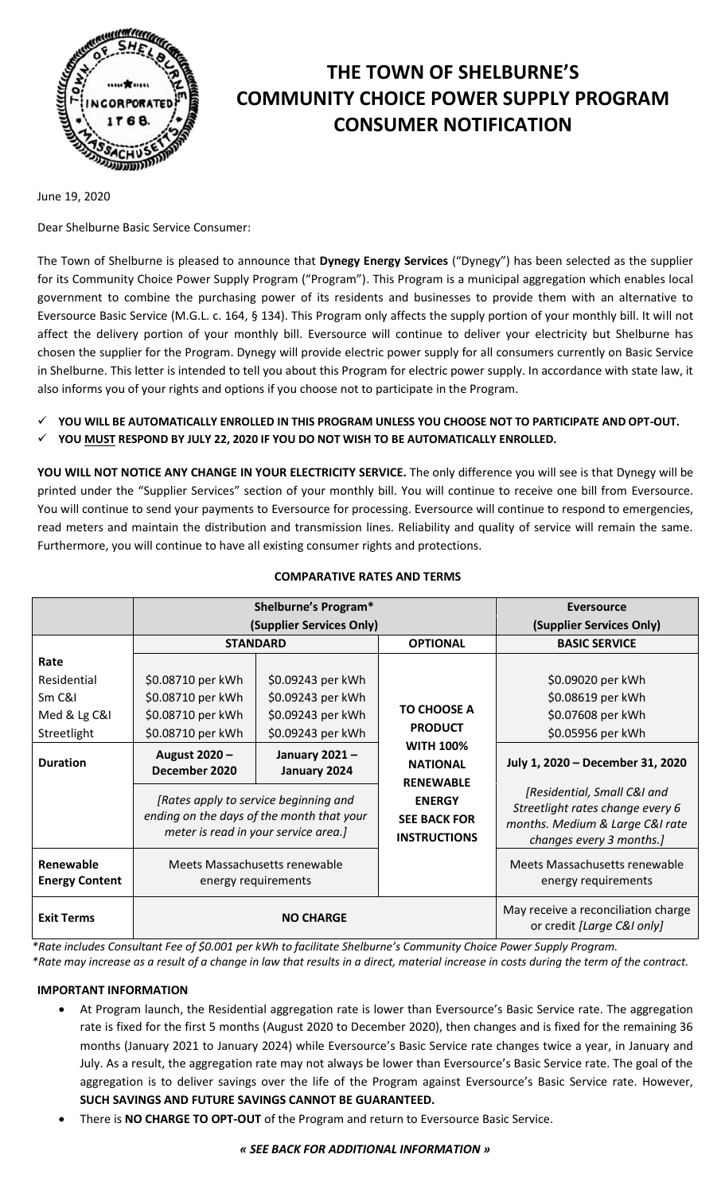

# **THE TOWN OF SHELBURNE'S COMMUNITY CHOICE POWER SUPPLY PROGRAM CONSUMER NOTIFICATION**

June 19, 2020

Dear Shelburne Basic Service Consumer:

The Town of Shelburne is pleased to announce that **Dynegy Energy Services** ("Dynegy") has been selected as the supplier for its Community Choice Power Supply Program ("Program"). This Program is a municipal aggregation which enables local government to combine the purchasing power of its residents and businesses to provide them with an alternative to Eversource Basic Service (M.G.L. c. 164, § 134). This Program only affects the supply portion of your monthly bill. It will not affect the delivery portion of your monthly bill. Eversource will continue to deliver your electricity but Shelburne has chosen the supplier for the Program. Dynegy will provide electric power supply for all consumers currently on Basic Service in Shelburne. This letter is intended to tell you about this Program for electric power supply. In accordance with state law, it also informs you of your rights and options if you choose not to participate in the Program.

- **YOU WILL BE AUTOMATICALLY ENROLLED IN THIS PROGRAM UNLESS YOU CHOOSE NOT TO PARTICIPATE AND OPT-OUT.**
- **YOU MUST RESPOND BY JULY 22, 2020 IF YOU DO NOT WISH TO BE AUTOMATICALLY ENROLLED.**

**YOU WILL NOT NOTICE ANY CHANGE IN YOUR ELECTRICITY SERVICE.** The only difference you will see is that Dynegy will be printed under the "Supplier Services" section of your monthly bill. You will continue to receive one bill from Eversource. You will continue to send your payments to Eversource for processing. Eversource will continue to respond to emergencies, read meters and maintain the distribution and transmission lines. Reliability and quality of service will remain the same. Furthermore, you will continue to have all existing consumer rights and protections.

|                                    | Shelburne's Program*                                                                                                       |                               |                                                                                                 | <b>Eversource</b>                                                                                                              |
|------------------------------------|----------------------------------------------------------------------------------------------------------------------------|-------------------------------|-------------------------------------------------------------------------------------------------|--------------------------------------------------------------------------------------------------------------------------------|
|                                    | (Supplier Services Only)                                                                                                   |                               |                                                                                                 | (Supplier Services Only)                                                                                                       |
|                                    | <b>STANDARD</b>                                                                                                            |                               | <b>OPTIONAL</b>                                                                                 | <b>BASIC SERVICE</b>                                                                                                           |
| Rate                               |                                                                                                                            |                               |                                                                                                 |                                                                                                                                |
| Residential                        | \$0.08710 per kWh                                                                                                          | \$0.09243 per kWh             |                                                                                                 | \$0.09020 per kWh                                                                                                              |
| Sm C&I                             | \$0.08710 per kWh                                                                                                          | \$0.09243 per kWh             | <b>TO CHOOSE A</b><br><b>PRODUCT</b><br><b>WITH 100%</b><br><b>NATIONAL</b><br><b>RENEWABLE</b> | \$0.08619 per kWh                                                                                                              |
| Med & Lg C&I                       | \$0.08710 per kWh                                                                                                          | \$0.09243 per kWh             |                                                                                                 | \$0.07608 per kWh                                                                                                              |
| Streetlight                        | \$0.08710 per kWh                                                                                                          | \$0.09243 per kWh             |                                                                                                 | \$0.05956 per kWh                                                                                                              |
| <b>Duration</b>                    | August 2020 -<br>December 2020                                                                                             | January 2021-<br>January 2024 |                                                                                                 | July 1, 2020 - December 31, 2020                                                                                               |
|                                    | [Rates apply to service beginning and<br>ending on the days of the month that your<br>meter is read in your service area.] |                               | <b>ENERGY</b><br><b>SEE BACK FOR</b><br><b>INSTRUCTIONS</b>                                     | [Residential, Small C&I and<br>Streetlight rates change every 6<br>months. Medium & Large C&I rate<br>changes every 3 months.] |
| Renewable<br><b>Energy Content</b> | Meets Massachusetts renewable<br>energy requirements                                                                       |                               |                                                                                                 | Meets Massachusetts renewable<br>energy requirements                                                                           |
| <b>Exit Terms</b>                  | <b>NO CHARGE</b>                                                                                                           |                               |                                                                                                 | May receive a reconciliation charge<br>or credit [Large C&I only]                                                              |

#### **COMPARATIVE RATES AND TERMS**

*\*Rate includes Consultant Fee of \$0.001 per kWh to facilitate Shelburne's Community Choice Power Supply Program.*

*\*Rate may increase as a result of a change in law that results in a direct, material increase in costs during the term of the contract.*

# **IMPORTANT INFORMATION**

- At Program launch, the Residential aggregation rate is lower than Eversource's Basic Service rate. The aggregation rate is fixed for the first 5 months (August 2020 to December 2020), then changes and is fixed for the remaining 36 months (January 2021 to January 2024) while Eversource's Basic Service rate changes twice a year, in January and July. As a result, the aggregation rate may not always be lower than Eversource's Basic Service rate. The goal of the aggregation is to deliver savings over the life of the Program against Eversource's Basic Service rate. However, **SUCH SAVINGS AND FUTURE SAVINGS CANNOT BE GUARANTEED.**
- There is **NO CHARGE TO OPT-OUT** of the Program and return to Eversource Basic Service.